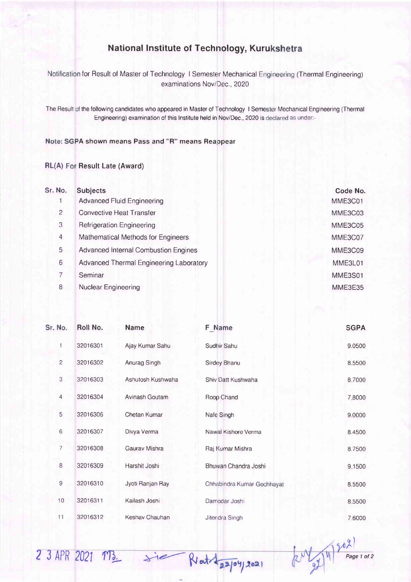## National lnstitute of Technology, Kuru

for Result of Master of Technology I Semester Mechanical Engineering (Thermal Engineering examinations Nov/Dec., 2020

The Result of the following candidates who appeared in Master of Technology I Semester Mechanical Engineering (Therma Engineering) examination of this lnstitute held in Nov/Dec., 2020 is as under:-

## Note: SGPA shown means Pass and "R" means Reappear

## RL(A) For Result Late (Award)

| Sr. No. | <b>Subjects</b>                             | Code No. |
|---------|---------------------------------------------|----------|
|         | <b>Advanced Fluid Engineering</b>           | MME3C01  |
| 2       | <b>Convective Heat Transfer</b>             | MME3C03  |
| 3       | <b>Refrigeration Engineering</b>            | MME3C05  |
| 4       | Mathematical Methods for Engineers          | MME3C07  |
| 5       | <b>Advanced Internal Combustion Engines</b> | MME3C09  |
| 6       | Advanced Thermal Engineering Laboratory     | MME3L01  |
| 7       | Seminar                                     | MME3S01  |
| 8       | Nuclear Engineering                         | MME3E35  |
|         |                                             |          |

| Sr. No.        | Roll No.                               | Name              | <b>F</b> Name              | <b>SGPA</b> |
|----------------|----------------------------------------|-------------------|----------------------------|-------------|
|                | 32016301<br>$\overline{2}$<br>32016302 | Ajay Kumar Sahu   | Sudhir Sahu                | 9.0500      |
|                |                                        | Anurag Singh      | Sirdey Bhanu               | 8.5500      |
| $\sqrt{3}$     | 32016303                               | Ashutosh Kushwaha | Shiv Datt Kushwaha         | 8.7000      |
| $\overline{4}$ | 32016304                               | Avinash Goutam    | Roop Chand                 | 7.8000      |
| 5              | 32016306                               | Chetan Kumar      | Nafe Singh                 | 9.0000      |
| $\,$ 6 $\,$    | 32016307                               | Divya Verma       | Nawal Kishore Verma        | 8.4500      |
| $\overline{7}$ | 32016308                               | Gaurav Mishra     | Raj Kumar Mishra           | 8.7500      |
| $\delta$       | 32016309                               | Harshit Joshi     | Bhuwan Chandra Joshi       | 9.1500      |
| $9$            | 32016310                               | Jyoti Ranjan Ray  | Chhabindra Kumar Gochhayat | 8.5500      |
| 10             | 32016311                               | Kailash Joshi     | Damodar Joshi              | 8.5500      |
| 11             | 32016312                               | Keshav Chauhan    | Jiteridra Singh            | 7.6000      |

u)  $23$  APR 2021 MB.  $\Rightarrow$  ie Retatingspory 2021 (2)